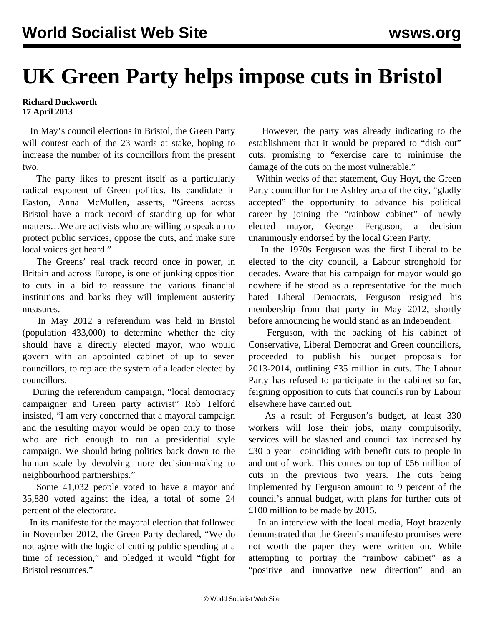## **UK Green Party helps impose cuts in Bristol**

## **Richard Duckworth 17 April 2013**

 In May's council elections in Bristol, the Green Party will contest each of the 23 wards at stake, hoping to increase the number of its councillors from the present two.

 The party likes to present itself as a particularly radical exponent of Green politics. Its candidate in Easton, Anna McMullen, asserts, "Greens across Bristol have a track record of standing up for what matters…We are activists who are willing to speak up to protect public services, oppose the cuts, and make sure local voices get heard."

 The Greens' real track record once in power, in Britain and across Europe, is one of junking opposition to cuts in a bid to reassure the various financial institutions and banks they will implement austerity measures.

 In May 2012 a referendum was held in Bristol (population 433,000) to determine whether the city should have a directly elected mayor, who would govern with an appointed cabinet of up to seven councillors, to replace the system of a leader elected by councillors.

 During the referendum campaign, "local democracy campaigner and Green party activist" Rob Telford insisted, "I am very concerned that a mayoral campaign and the resulting mayor would be open only to those who are rich enough to run a presidential style campaign. We should bring politics back down to the human scale by devolving more decision-making to neighbourhood partnerships."

 Some 41,032 people voted to have a mayor and 35,880 voted against the idea, a total of some 24 percent of the electorate.

 In its manifesto for the mayoral election that followed in November 2012, the Green Party declared, "We do not agree with the logic of cutting public spending at a time of recession," and pledged it would "fight for Bristol resources."

 However, the party was already indicating to the establishment that it would be prepared to "dish out" cuts, promising to "exercise care to minimise the damage of the cuts on the most vulnerable."

 Within weeks of that statement, Guy Hoyt, the Green Party councillor for the Ashley area of the city, "gladly accepted" the opportunity to advance his political career by joining the "rainbow cabinet" of newly elected mayor, George Ferguson, a decision unanimously endorsed by the local Green Party.

 In the 1970s Ferguson was the first Liberal to be elected to the city council, a Labour stronghold for decades. Aware that his campaign for mayor would go nowhere if he stood as a representative for the much hated Liberal Democrats, Ferguson resigned his membership from that party in May 2012, shortly before announcing he would stand as an Independent.

 Ferguson, with the backing of his cabinet of Conservative, Liberal Democrat and Green councillors, proceeded to publish his budget proposals for 2013-2014, outlining £35 million in cuts. The Labour Party has refused to participate in the cabinet so far, feigning opposition to cuts that councils run by Labour elsewhere have carried out.

 As a result of Ferguson's budget, at least 330 workers will lose their jobs, many compulsorily, services will be slashed and council tax increased by £30 a year—coinciding with benefit cuts to people in and out of work. This comes on top of £56 million of cuts in the previous two years. The cuts being implemented by Ferguson amount to 9 percent of the council's annual budget, with plans for further cuts of £100 million to be made by 2015.

 In an interview with the local media, Hoyt brazenly demonstrated that the Green's manifesto promises were not worth the paper they were written on. While attempting to portray the "rainbow cabinet" as a "positive and innovative new direction" and an